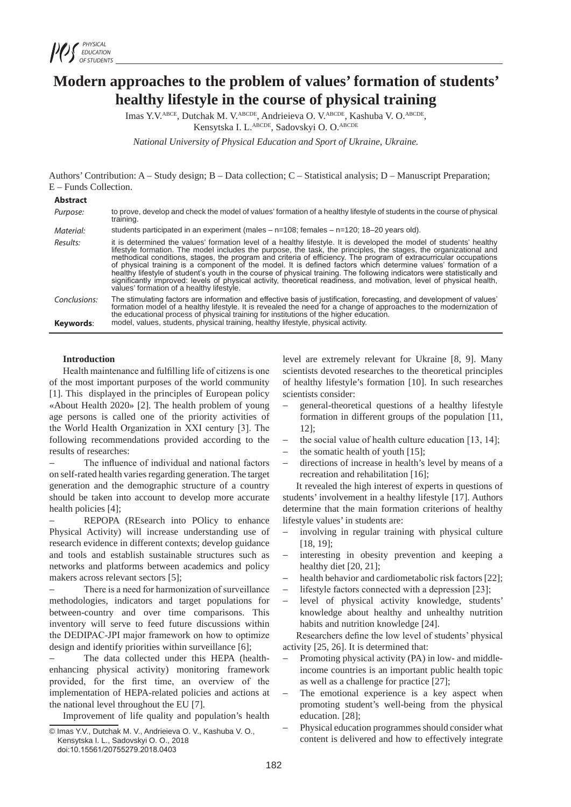

# **Modern approaches to the problem of values' formation of students' healthy lifestyle in the course of physical training**

Imas Y.V.ABCE, Dutchak M. V.ABCDE, Andrieieva O. V.ABCDE, Kashuba V. O.ABCDE, Kensytska I. L.ABCDE, Sadovskyi O. O.ABCDE

*National University of Physical Education and Sport of Ukraine, Ukraine.*

Authors' Contribution: A – Study design; B – Data collection; C – Statistical analysis; D – Manuscript Preparation; E – Funds Collection.

| <b>Abstract</b>           |                                                                                                                                                                                                                                                                                                                                                                                                                                                                                                                                                                                                                                                                                                                                                                                   |
|---------------------------|-----------------------------------------------------------------------------------------------------------------------------------------------------------------------------------------------------------------------------------------------------------------------------------------------------------------------------------------------------------------------------------------------------------------------------------------------------------------------------------------------------------------------------------------------------------------------------------------------------------------------------------------------------------------------------------------------------------------------------------------------------------------------------------|
| Purpose:                  | to prove, develop and check the model of values' formation of a healthy lifestyle of students in the course of physical<br>training.                                                                                                                                                                                                                                                                                                                                                                                                                                                                                                                                                                                                                                              |
| Material:                 | students participated in an experiment (males $-$ n=108; females $-$ n=120; 18–20 years old).                                                                                                                                                                                                                                                                                                                                                                                                                                                                                                                                                                                                                                                                                     |
| Results:                  | it is determined the values' formation level of a healthy lifestyle. It is developed the model of students' healthy<br>lifestyle formation. The model includes the purpose, the task, the principles, the stages, the organizational and<br>methodical conditions, stages, the program and criteria of efficiency. The program of extracurricular occupations<br>of physical training is a component of the model. It is defined factors which determine values' formation of a<br>healthy lifestyle of student's youth in the course of physical training. The following indicators were statistically and<br>significantly improved: levels of physical activity, theoretical readiness, and motivation, level of physical health,<br>values' formation of a healthy lifestyle. |
| Conclusions:<br>Keywords: | The stimulating factors are information and effective basis of justification, forecasting, and development of values'<br>formation model of a healthy lifestyle. It is revealed the need for a change of approaches to the modernization of<br>the educational process of physical training for institutions of the higher education.<br>model, values, students, physical training, healthy lifestyle, physical activity.                                                                                                                                                                                                                                                                                                                                                        |

## **Introduction**

Health maintenance and fulfilling life of citizens is one of the most important purposes of the world community [1]. This displayed in the principles of European policy «About Health 2020» [2]. The health problem of young age persons is called one of the priority activities of the World Health Organization in ХХІ century [3]. The following recommendations provided according to the results of researches:

The influence of individual and national factors on self-rated health varies regarding generation. The target generation and the demographic structure of a country should be taken into account to develop more accurate health policies [4];

REPOPA (REsearch into POlicy to enhance Physical Activity) will increase understanding use of research evidence in different contexts; develop guidance and tools and establish sustainable structures such as networks and platforms between academics and policy makers across relevant sectors [5];

There is a need for harmonization of surveillance methodologies, indicators and target populations for between-country and over time comparisons. This inventory will serve to feed future discussions within the DEDIPAC-JPI major framework on how to optimize design and identify priorities within surveillance [6];

The data collected under this HEPA (healthenhancing physical activity) monitoring framework provided, for the first time, an overview of the implementation of HEPA-related policies and actions at the national level throughout the EU [7].

Improvement of life quality and population's health

level are extremely relevant for Ukraine [8, 9]. Many scientists devoted researches to the theoretical principles of healthy lifestyle's formation [10]. In such researches scientists consider:

- − general-theoretical questions of a healthy lifestyle formation in different groups of the population [11, 12];
- the social value of health culture education  $[13, 14]$ ;
- the somatic health of youth  $[15]$ ;
- directions of increase in health's level by means of a recreation and rehabilitation [16];

It revealed the high interest of experts in questions of students' involvement in a healthy lifestyle [17]. Authors determine that the main formation criterions of healthy lifestyle values' in students are:

- involving in regular training with physical culture [18, 19];
- interesting in obesity prevention and keeping a healthy diet [20, 21];
- health behavior and cardiometabolic risk factors [22];
- lifestyle factors connected with a depression  $[23]$ ;
- level of physical activity knowledge, students' knowledge about healthy and unhealthy nutrition habits and nutrition knowledge [24].

Researchers define the low level of students' physical activity [25, 26]. It is determined that:

- Promoting physical activity (PA) in low- and middleincome countries is an important public health topic as well as a challenge for practice [27];
- The emotional experience is a key aspect when promoting student's well-being from the physical education. [28];
- Physical education programmes should consider what content is delivered and how to effectively integrate

<sup>©</sup> Imas Y.V., Dutchak M. V., Andrieieva O. V., Kashuba V. O., Kensytska I. L., Sadovskyi O. O., 2018

doi:10.15561/20755279.2018.0403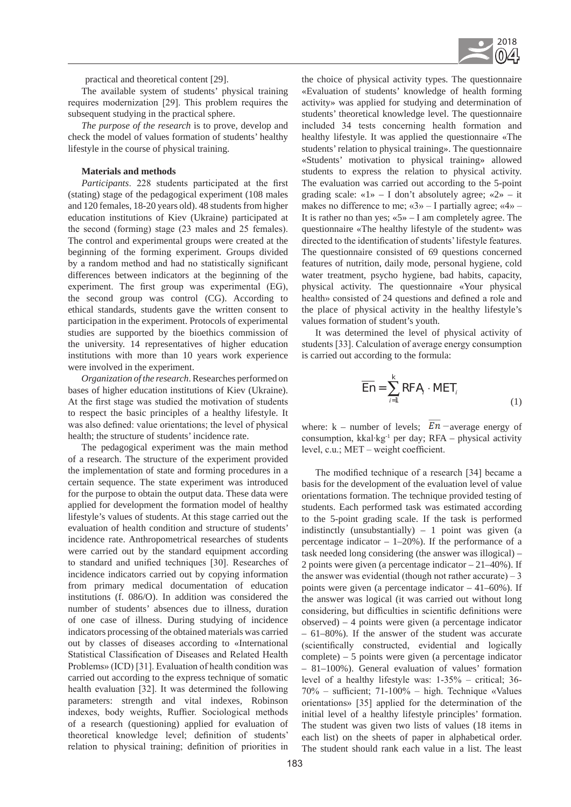

practical and theoretical content [29].

The available system of students' physical training requires modernization [29]. This problem requires the subsequent studying in the practical sphere.

*The purpose of the research* is to prove, develop and check the model of values formation of students' healthy lifestyle in the course of physical training.

#### **Materials and methods**

*Participants*. 228 students participated at the first (stating) stage of the pedagogical experiment (108 males and 120 females, 18-20 years old). 48 students from higher education institutions of Kiev (Ukraine) participated at the second (forming) stage (23 males and 25 females). The control and experimental groups were created at the beginning of the forming experiment. Groups divided by a random method and had no statistically significant differences between indicators at the beginning of the experiment. The first group was experimental (EG), the second group was control (CG). According to ethical standards, students gave the written consent to participation in the experiment. Protocols of experimental studies are supported by the bioethics commission of the university. 14 representatives of higher education institutions with more than 10 years work experience were involved in the experiment.

*Organization of the research*. Researches performed on bases of higher education institutions of Kiev (Ukraine). At the first stage was studied the motivation of students to respect the basic principles of a healthy lifestyle. It was also defined: value orientations; the level of physical health; the structure of students' incidence rate.

The pedagogical experiment was the main method of a research. The structure of the experiment provided the implementation of state and forming procedures in a certain sequence. The state experiment was introduced for the purpose to obtain the output data. These data were applied for development the formation model of healthy lifestyle's values of students. At this stage carried out the evaluation of health condition and structure of students' incidence rate. Anthropometrical researches of students were carried out by the standard equipment according to standard and unified techniques [30]. Researches of incidence indicators carried out by copying information from primary medical documentation of education institutions (f. 086/O). In addition was considered the number of students' absences due to illness, duration of one case of illness. During studying of incidence indicators processing of the obtained materials was carried out by classes of diseases according to «International Statistical Classification of Diseases and Related Health Problems» (ICD) [31]. Evaluation of health condition was carried out according to the express technique of somatic health evaluation [32]. It was determined the following parameters: strength and vital indexes, Robinson indexes, body weights, Ruffier. Sociological methods of a research (questioning) applied for evaluation of theoretical knowledge level; definition of students' relation to physical training; definition of priorities in the choice of physical activity types. The questionnaire «Evaluation of students' knowledge of health forming activity» was applied for studying and determination of students' theoretical knowledge level. The questionnaire included 34 tests concerning health formation and healthy lifestyle. It was applied the questionnaire «The students' relation to physical training». The questionnaire «Students' motivation to physical training» allowed students to express the relation to physical activity. The evaluation was carried out according to the 5-point grading scale: « $1$ » – I don't absolutely agree; « $2$ » – it makes no difference to me;  $\langle 3 \rangle$  – I partially agree;  $\langle 4 \rangle$  – It is rather no than yes;  $\le 5$  – I am completely agree. The questionnaire «The healthy lifestyle of the student» was directed to the identification of students' lifestyle features. The questionnaire consisted of 69 questions concerned features of nutrition, daily mode, personal hygiene, cold water treatment, psycho hygiene, bad habits, capacity, physical activity. The questionnaire «Your physical health» consisted of 24 questions and defined a role and the place of physical activity in the healthy lifestyle's values formation of student's youth.

It was determined the level of physical activity of students [33]. Calculation of average energy consumption is carried out according to the formula:

$$
\overline{En} = \sum_{i=1}^{k} RFA_i \cdot MET_i \tag{1}
$$

where: k – number of levels;  $\overline{En}$  – average energy of consumption, kkal∙kg-1 per day; RFA – physical activity level, c.u.; МЕТ – weight coefficient.

The modified technique of a research [34] became a basis for the development of the evaluation level of value orientations formation. The technique provided testing of students. Each performed task was estimated according to the 5-point grading scale. If the task is performed indistinctly (unsubstantially)  $-1$  point was given (a percentage indicator  $-1-20\%$ ). If the performance of a task needed long considering (the answer was illogical) – 2 points were given (a percentage indicator – 21–40%). If the answer was evidential (though not rather accurate)  $-3$ points were given (a percentage indicator – 41–60%). If the answer was logical (it was carried out without long considering, but difficulties in scientific definitions were observed) – 4 points were given (a percentage indicator – 61–80%). If the answer of the student was accurate (scientifically constructed, evidential and logically complete) – 5 points were given (a percentage indicator – 81–100%). General evaluation of values' formation level of a healthy lifestyle was: 1-35% – critical; 36- 70% – sufficient; 71-100% – high. Technique «Values orientations» [35] applied for the determination of the initial level of a healthy lifestyle principles' formation. The student was given two lists of values (18 items in each list) on the sheets of paper in alphabetical order. The student should rank each value in a list. The least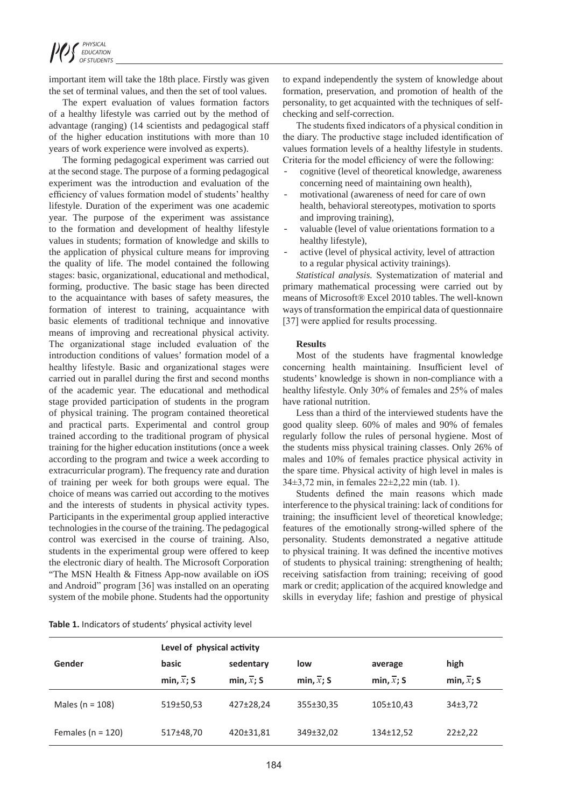important item will take the 18th place. Firstly was given the set of terminal values, and then the set of tool values.

The expert evaluation of values formation factors of a healthy lifestyle was carried out by the method of advantage (ranging) (14 scientists and pedagogical staff of the higher education institutions with more than 10 years of work experience were involved as experts).

The forming pedagogical experiment was carried out at the second stage. The purpose of a forming pedagogical experiment was the introduction and evaluation of the efficiency of values formation model of students' healthy lifestyle. Duration of the experiment was one academic year. The purpose of the experiment was assistance to the formation and development of healthy lifestyle values in students; formation of knowledge and skills to the application of physical culture means for improving the quality of life. The model contained the following stages: basic, organizational, educational and methodical, forming, productive. The basic stage has been directed to the acquaintance with bases of safety measures, the formation of interest to training, acquaintance with basic elements of traditional technique and innovative means of improving and recreational physical activity. The organizational stage included evaluation of the introduction conditions of values' formation model of a healthy lifestyle. Basic and organizational stages were carried out in parallel during the first and second months of the academic year. The educational and methodical stage provided participation of students in the program of physical training. The program contained theoretical and practical parts. Experimental and control group trained according to the traditional program of physical training for the higher education institutions (once a week according to the program and twice a week according to extracurricular program). The frequency rate and duration of training per week for both groups were equal. The choice of means was carried out according to the motives and the interests of students in physical activity types. Participants in the experimental group applied interactive technologies in the course of the training. The pedagogical control was exercised in the course of training. Also, students in the experimental group were offered to keep the electronic diary of health. The Microsoft Corporation "The MSN Health & Fitness App-now available on iOS and Android" program [36] was installed on an operating system of the mobile phone. Students had the opportunity

to expand independently the system of knowledge about formation, preservation, and promotion of health of the personality, to get acquainted with the techniques of selfchecking and self-correction.

The students fixed indicators of a physical condition in the diary. The productive stage included identification of values formation levels of a healthy lifestyle in students. Criteria for the model efficiency of were the following:

- cognitive (level of theoretical knowledge, awareness concerning need of maintaining own health),
- motivational (awareness of need for care of own health, behavioral stereotypes, motivation to sports and improving training),
- valuable (level of value orientations formation to a healthy lifestyle),
- active (level of physical activity, level of attraction to a regular physical activity trainings).

*Statistical analysis.* Systematization of material and primary mathematical processing were carried out by means of Microsoft® Excel 2010 tables. The well-known ways of transformation the empirical data of questionnaire [37] were applied for results processing.

## **Results**

Most of the students have fragmental knowledge concerning health maintaining. Insufficient level of students' knowledge is shown in non-compliance with a healthy lifestyle. Only 30% of females and 25% of males have rational nutrition.

Less than a third of the interviewed students have the good quality sleep. 60% of males and 90% of females regularly follow the rules of personal hygiene. Most of the students miss physical training classes. Only 26% of males and 10% of females practice physical activity in the spare time. Physical activity of high level in males is 34±3,72 min, in females 22±2,22 min (tab. 1).

Students defined the main reasons which made interference to the physical training: lack of conditions for training; the insufficient level of theoretical knowledge; features of the emotionally strong-willed sphere of the personality. Students demonstrated a negative attitude to physical training. It was defined the incentive motives of students to physical training: strengthening of health; receiving satisfaction from training; receiving of good mark or credit; application of the acquired knowledge and skills in everyday life; fashion and prestige of physical

| Table 1. Indicators of students' physical activity level |  |  |  |  |
|----------------------------------------------------------|--|--|--|--|
|----------------------------------------------------------|--|--|--|--|

|                       | Level of physical activity |                         |                         |                         |                         |  |
|-----------------------|----------------------------|-------------------------|-------------------------|-------------------------|-------------------------|--|
| Gender                | basic                      | sedentary               | low                     | average                 | high                    |  |
|                       | min, $\overline{x}$ ; S    | min, $\overline{x}$ ; S | min, $\overline{x}$ ; S | min, $\overline{x}$ ; S | min, $\overline{x}$ ; S |  |
| Males ( $n = 108$ )   | 519±50,53                  | 427±28,24               | 355±30,35               | 105±10,43               | 34±3,72                 |  |
| Females ( $n = 120$ ) | 517±48,70                  | 420±31,81               | 349±32,02               | 134±12,52               | $22 \pm 2,22$           |  |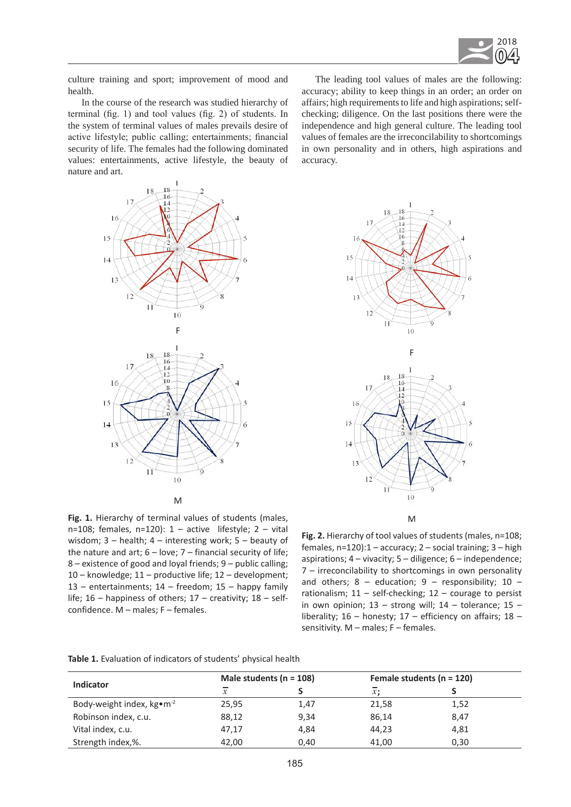

culture training and sport; improvement of mood and health.

In the course of the research was studied hierarchy of terminal (fig. 1) and tool values (fig. 2) of students. In the system of terminal values of males prevails desire of active lifestyle; public calling; entertainments; financial security of life. The females had the following dominated values: entertainments, active lifestyle, the beauty of nature and art.



The leading tool values of males are the following: accuracy; ability to keep things in an order; an order on affairs; high requirements to life and high aspirations; selfchecking; diligence. On the last positions there were the independence and high general culture. The leading tool values of females are the irreconcilability to shortcomings in own personality and in others, high aspirations and accuracy.



**Fig. 1.** Hierarchy of terminal values of students (males, n=108; females, n=120):  $1 -$  active lifestyle;  $2 -$  vital wisdom; 3 – health; 4 – interesting work; 5 – beauty of the nature and art;  $6 -$  love;  $7 -$  financial security of life; 8 – existence of good and loyal friends; 9 – public calling; 10 – knowledge; 11 – productive life; 12 – development; 13 – entertainments;  $14$  – freedom;  $15$  – happy family life;  $16$  – happiness of others;  $17$  – creativity;  $18$  – selfconfidence. M – males; F – females.

**Fig. 2.** Hierarchy of tool values of students (males, n=108; females, n=120):1 – accuracy; 2 – social training; 3 – high aspirations;  $4$  – vivacity;  $5$  – diligence;  $6$  – independence; 7 – irreconcilability to shortcomings in own personality and others;  $8 -$  education;  $9 -$  responsibility;  $10$ rationalism;  $11 - \text{self-checking}$ ;  $12 - \text{course}$  to persist in own opinion;  $13 -$  strong will;  $14 -$  tolerance;  $15$ liberality; 16 – honesty; 17 – efficiency on affairs; 18 – sensitivity. M - males; F - females.

|                                       | Male students ( $n = 108$ ) |      | Female students ( $n = 120$ ) |      |
|---------------------------------------|-----------------------------|------|-------------------------------|------|
| <b>Indicator</b>                      | $\mathcal{X}$               |      | x:                            |      |
| Body-weight index, kg•m <sup>-2</sup> | 25,95                       | 1,47 | 21,58                         | 1,52 |
| Robinson index, c.u.                  | 88,12                       | 9,34 | 86,14                         | 8,47 |
| Vital index, c.u.                     | 47,17                       | 4,84 | 44,23                         | 4,81 |
| Strength index,%.                     | 42,00                       | 0,40 | 41,00                         | 0,30 |

**Table 1.** Evaluation of indicators of students' physical health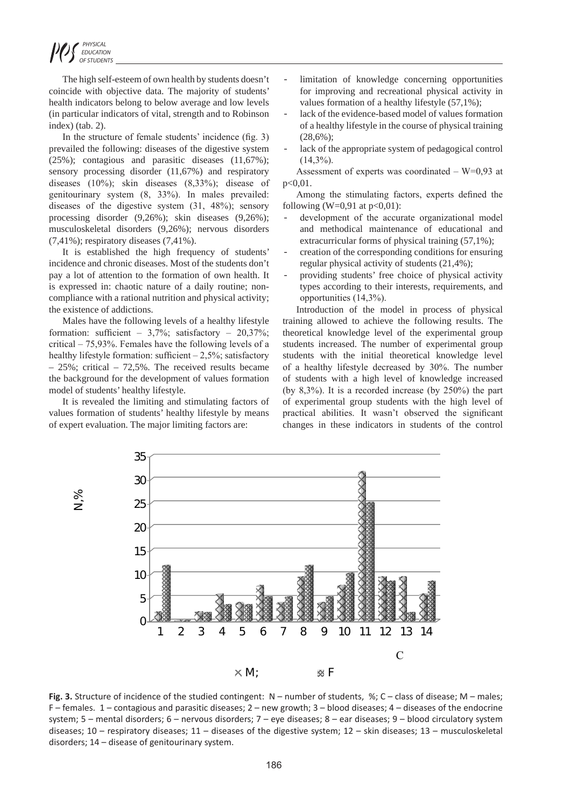The high self-esteem of own health by students doesn't coincide with objective data. The majority of students' health indicators belong to below average and low levels (in particular indicators of vital, strength and to Robinson index) (tab. 2).

In the structure of female students' incidence (fig. 3) prevailed the following: diseases of the digestive system (25%); contagious and parasitic diseases (11,67%); sensory processing disorder (11,67%) and respiratory diseases (10%); skin diseases (8,33%); disease of genitourinary system (8, 33%). In males prevailed: diseases of the digestive system (31, 48%); sensory processing disorder (9,26%); skin diseases (9,26%); musculoskeletal disorders (9,26%); nervous disorders (7,41%); respiratory diseases (7,41%).

It is established the high frequency of students' incidence and chronic diseases. Most of the students don't pay a lot of attention to the formation of own health. It is expressed in: chaotic nature of a daily routine; noncompliance with a rational nutrition and physical activity; the existence of addictions.

Males have the following levels of a healthy lifestyle formation: sufficient –  $3,7\%$ ; satisfactory –  $20,37\%$ ; critical – 75,93%. Females have the following levels of a healthy lifestyle formation: sufficient  $-2,5\%$ ; satisfactory – 25%; critical – 72,5%. The received results became the background for the development of values formation model of students' healthy lifestyle.

It is revealed the limiting and stimulating factors of values formation of students' healthy lifestyle by means of expert evaluation. The major limiting factors are:

- limitation of knowledge concerning opportunities for improving and recreational physical activity in values formation of a healthy lifestyle (57,1%);
- lack of the evidence-based model of values formation of a healthy lifestyle in the course of physical training (28,6%);
- lack of the appropriate system of pedagogical control  $(14.3\%)$ .
- Assessment of experts was coordinated  $-$  W=0,93 at p<0,01.

Among the stimulating factors, experts defined the following (W=0,91 at  $p<0.01$ ):

- development of the accurate organizational model and methodical maintenance of educational and extracurricular forms of physical training (57,1%);
- creation of the corresponding conditions for ensuring regular physical activity of students (21,4%);
- providing students' free choice of physical activity types according to their interests, requirements, and opportunities (14,3%).

Introduction of the model in process of physical training allowed to achieve the following results. The theoretical knowledge level of the experimental group students increased. The number of experimental group students with the initial theoretical knowledge level of a healthy lifestyle decreased by 30%. The number of students with a high level of knowledge increased (by 8,3%). It is a recorded increase (by 250%) the part of experimental group students with the high level of practical abilities. It wasn't observed the significant changes in these indicators in students of the control



Fig. 3. Structure of incidence of the studied contingent:  $N -$  number of students, %;  $C -$  class of disease;  $M -$  males;  $F$  – females. 1 – contagious and parasitic diseases; 2 – new growth; 3 – blood diseases; 4 – diseases of the endocrine system; 5 – mental disorders; 6 – nervous disorders; 7 – eye diseases; 8 – ear diseases; 9 – blood circulatory system diseases;  $10 -$  respiratory diseases;  $11 -$  diseases of the digestive system;  $12 -$  skin diseases;  $13 -$  musculoskeletal disorders; 14 – disease of genitourinary system.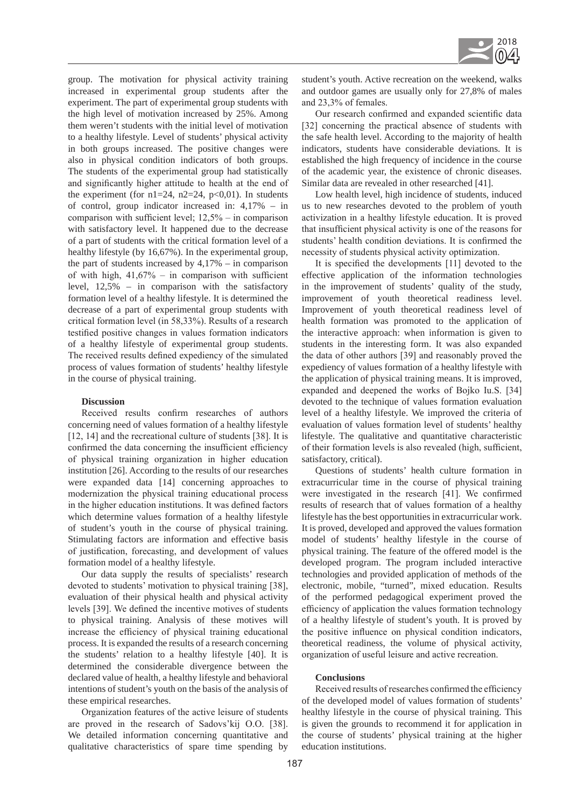

group. The motivation for physical activity training increased in experimental group students after the experiment. The part of experimental group students with the high level of motivation increased by 25%. Among them weren't students with the initial level of motivation to a healthy lifestyle. Level of students' physical activity in both groups increased. The positive changes were also in physical condition indicators of both groups. The students of the experimental group had statistically and significantly higher attitude to health at the end of the experiment (for  $n1=24$ ,  $n2=24$ ,  $p<0,01$ ). In students of control, group indicator increased in: 4,17% – in comparison with sufficient level; 12,5% – in comparison with satisfactory level. It happened due to the decrease of a part of students with the critical formation level of a healthy lifestyle (by 16,67%). In the experimental group, the part of students increased by  $4,17\%$  – in comparison of with high,  $41,67%$  – in comparison with sufficient level, 12,5% – in comparison with the satisfactory formation level of a healthy lifestyle. It is determined the decrease of a part of experimental group students with critical formation level (in 58,33%). Results of a research testified positive changes in values formation indicators of a healthy lifestyle of experimental group students. The received results defined expediency of the simulated process of values formation of students' healthy lifestyle in the course of physical training.

#### **Discussion**

Received results confirm researches of authors concerning need of values formation of a healthy lifestyle [12, 14] and the recreational culture of students [38]. It is confirmed the data concerning the insufficient efficiency of physical training organization in higher education institution [26]. According to the results of our researches were expanded data [14] concerning approaches to modernization the physical training educational process in the higher education institutions. It was defined factors which determine values formation of a healthy lifestyle of student's youth in the course of physical training. Stimulating factors are information and effective basis of justification, forecasting, and development of values formation model of a healthy lifestyle.

Our data supply the results of specialists' research devoted to students' motivation to physical training [38], evaluation of their physical health and physical activity levels [39]. We defined the incentive motives of students to physical training. Analysis of these motives will increase the efficiency of physical training educational process. It is expanded the results of a research concerning the students' relation to a healthy lifestyle [40]. It is determined the considerable divergence between the declared value of health, a healthy lifestyle and behavioral intentions of student's youth on the basis of the analysis of these empirical researches.

Organization features of the active leisure of students are proved in the research of Sadovs'kij O.O. [38]. We detailed information concerning quantitative and qualitative characteristics of spare time spending by student's youth. Active recreation on the weekend, walks and outdoor games are usually only for 27,8% of males and 23,3% of females.

Our research confirmed and expanded scientific data [32] concerning the practical absence of students with the safe health level. According to the majority of health indicators, students have considerable deviations. It is established the high frequency of incidence in the course of the academic year, the existence of chronic diseases. Similar data are revealed in other researched [41].

Low health level, high incidence of students, induced us to new researches devoted to the problem of youth activization in a healthy lifestyle education. It is proved that insufficient physical activity is one of the reasons for students' health condition deviations. It is confirmed the necessity of students physical activity optimization.

It is specified the developments [11] devoted to the effective application of the information technologies in the improvement of students' quality of the study, improvement of youth theoretical readiness level. Improvement of youth theoretical readiness level of health formation was promoted to the application of the interactive approach: when information is given to students in the interesting form. It was also expanded the data of other authors [39] and reasonably proved the expediency of values formation of a healthy lifestyle with the application of physical training means. It is improved, expanded and deepened the works of Bojko Iu.S. [34] devoted to the technique of values formation evaluation level of a healthy lifestyle. We improved the criteria of evaluation of values formation level of students' healthy lifestyle. The qualitative and quantitative characteristic of their formation levels is also revealed (high, sufficient, satisfactory, critical).

Questions of students' health culture formation in extracurricular time in the course of physical training were investigated in the research [41]. We confirmed results of research that of values formation of a healthy lifestyle has the best opportunities in extracurricular work. It is proved, developed and approved the values formation model of students' healthy lifestyle in the course of physical training. The feature of the offered model is the developed program. The program included interactive technologies and provided application of methods of the electronic, mobile, "turned", mixed education. Results of the performed pedagogical experiment proved the efficiency of application the values formation technology of a healthy lifestyle of student's youth. It is proved by the positive influence on physical condition indicators, theoretical readiness, the volume of physical activity, organization of useful leisure and active recreation.

#### **Conclusions**

Received results of researches confirmed the efficiency of the developed model of values formation of students' healthy lifestyle in the course of physical training. This is given the grounds to recommend it for application in the course of students' physical training at the higher education institutions.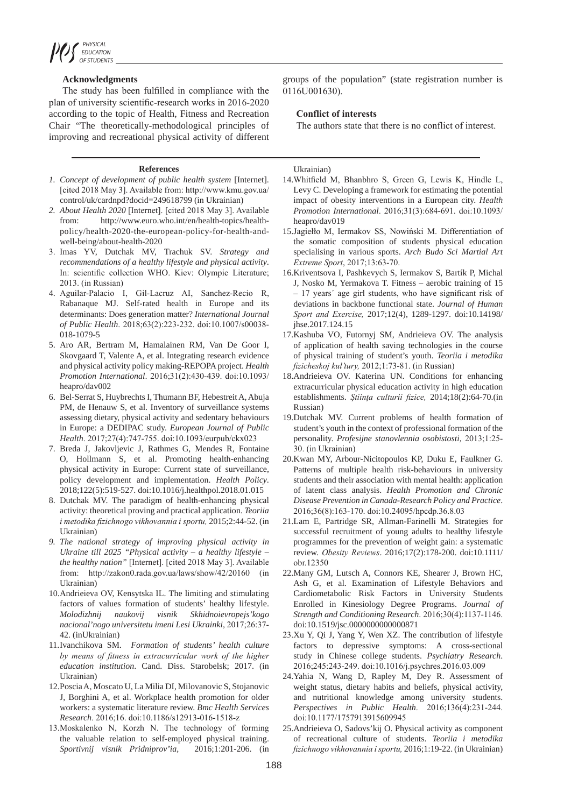## **Acknowledgments**

The study has been fulfilled in compliance with the plan of university scientific-research works in 2016-2020 according to the topic of Health, Fitness and Recreation Chair "The theoretically-methodological principles of improving and recreational physical activity of different

#### **References**

- *1. Concept of development of public health system* [Internet]. [cited 2018 May 3]. Available from: http://www.kmu.gov.ua/ control/uk/cardnpd?docid=249618799 (in Ukrainian)
- *2. About Health 2020* [Internet]. [cited 2018 May 3]. Available from: http://www.euro.who.int/en/health-topics/healthpolicy/health-2020-the-european-policy-for-health-andwell-being/about-health-2020
- 3. Imas YV, Dutchak MV, Trachuk SV. *Strategy and recommendations of a healthy lifestyle and physical activity*. In: scientific collection WHO. Kiev: Olympic Literature; 2013. (in Russian)
- 4. Aguilar-Palacio I, Gil-Lacruz AI, Sanchez-Recio R, Rabanaque MJ. Self-rated health in Europe and its determinants: Does generation matter? *International Journal of Public Health*. 2018;63(2):223-232. doi:10.1007/s00038- 018-1079-5
- 5. Aro AR, Bertram M, Hamalainen RM, Van De Goor I, Skovgaard T, Valente A, et al. Integrating research evidence and physical activity policy making-REPOPA project. *Health Promotion International*. 2016;31(2):430-439. doi:10.1093/ heapro/dav002
- 6. Bel-Serrat S, Huybrechts I, Thumann BF, Hebestreit A, Abuja PM, de Henauw S, et al. Inventory of surveillance systems assessing dietary, physical activity and sedentary behaviours in Europe: a DEDIPAC study. *European Journal of Public Health*. 2017;27(4):747-755. doi:10.1093/eurpub/ckx023
- 7. Breda J, Jakovljevic J, Rathmes G, Mendes R, Fontaine O, Hollmann S, et al. Promoting health-enhancing physical activity in Europe: Current state of surveillance, policy development and implementation. *Health Policy*. 2018;122(5):519-527. doi:10.1016/j.healthpol.2018.01.015
- 8. Dutchak MV. The paradigm of health-enhancing physical activity: theoretical proving and practical application. *Teoriia i metodika fizichnogo vikhovannia i sportu,* 2015;2:44-52. (in Ukrainian)
- *9. The national strategy of improving physical activity in Ukraine till 2025 "Physical activity – a healthy lifestyle – the healthy nation"* [Internet]. [cited 2018 May 3]. Available from: http://zakon0.rada.gov.ua/laws/show/42/20160 (in Ukrainian)
- 10.Andrieieva OV, Kensytska IL. The limiting and stimulating factors of values formation of students' healthy lifestyle. *Molodizhnij naukovij visnik Skhidnoievropejs'kogo nacional'nogo universitetu imeni Lesi Ukrainki,* 2017;26:37- 42. (inUkrainian)
- 11.Ivanchikova SM. *Formation of students' health culture by means of fitness in extracurricular work of the higher education institution*. Cand. Diss. Starobelsk; 2017. (in Ukrainian)
- 12.Poscia A, Moscato U, La Milia DI, Milovanovic S, Stojanovic J, Borghini A, et al. Workplace health promotion for older workers: a systematic literature review. *Bmc Health Services Research*. 2016;16. doi:10.1186/s12913-016-1518-z
- 13.Moskalenko N, Korzh N. The technology of forming the valuable relation to self-employed physical training. *Sportivnij visnik Pridniprov'ia,* 2016;1:201-206. (in

groups of the population" (state registration number is 0116U001630).

### **Conflict of interests**

The authors state that there is no conflict of interest.

Ukrainian)

- 14.Whitfield M, Bhanbhro S, Green G, Lewis K, Hindle L, Levy C. Developing a framework for estimating the potential impact of obesity interventions in a European city. *Health Promotion International*. 2016;31(3):684-691. doi:10.1093/ heapro/dav019
- 15.Jagiełło M, Iermakov SS, Nowiński M. Differentiation of the somatic composition of students physical education specialising in various sports. *Arch Budo Sci Martial Art Extreme Sport*, 2017;13:63-70.
- 16.Kriventsova I, Pashkevych S, Iermakov S, Bartík P, Michal J, Nosko M, Yermakova T. Fitness – aerobic training of 15 – 17 years´ age girl students, who have significant risk of deviations in backbone functional state. *Journal of Human Sport and Exercise,* 2017;12(4), 1289-1297. doi:10.14198/ jhse.2017.124.15
- 17.Kashuba VO, Futornyj SM, Andrieieva OV. The analysis of application of health saving technologies in the course of physical training of student's youth. *Teoriia i metodika fizicheskoj kul'tury,* 2012;1:73-81. (in Russian)
- 18.Andrieieva OV. Katerina UN. Conditions for enhancing extracurricular physical education activity in high education establishments. *Ştiinţa culturii fizice,* 2014;18(2):64-70.(in Russian)
- 19.Dutchak MV. Current problems of health formation of student's youth in the context of professional formation of the personality. *Profesijne stanovlennia osobistosti,* 2013;1:25- 30. (in Ukrainian)
- 20.Kwan MY, Arbour-Nicitopoulos KP, Duku E, Faulkner G. Patterns of multiple health risk-behaviours in university students and their association with mental health: application of latent class analysis. *Health Promotion and Chronic Disease Prevention in Canada-Research Policy and Practice*. 2016;36(8):163-170. doi:10.24095/hpcdp.36.8.03
- 21.Lam E, Partridge SR, Allman-Farinelli M. Strategies for successful recruitment of young adults to healthy lifestyle programmes for the prevention of weight gain: a systematic review. *Obesity Reviews*. 2016;17(2):178-200. doi:10.1111/ obr.12350
- 22.Many GM, Lutsch A, Connors KE, Shearer J, Brown HC, Ash G, et al. Examination of Lifestyle Behaviors and Cardiometabolic Risk Factors in University Students Enrolled in Kinesiology Degree Programs. *Journal of Strength and Conditioning Research*. 2016;30(4):1137-1146. doi:10.1519/jsc.0000000000000871
- 23.Xu Y, Qi J, Yang Y, Wen XZ. The contribution of lifestyle factors to depressive symptoms: A cross-sectional study in Chinese college students. *Psychiatry Research*. 2016;245:243-249. doi:10.1016/j.psychres.2016.03.009
- 24.Yahia N, Wang D, Rapley M, Dey R. Assessment of weight status, dietary habits and beliefs, physical activity, and nutritional knowledge among university students. *Perspectives in Public Health*. 2016;136(4):231-244. doi:10.1177/1757913915609945
- 25.Andrieieva O, Sadovs'kij O. Physical activity as component of recreational culture of students. *Teoriia i metodika fizichnogo vikhovannia i sportu,* 2016;1:19-22. (in Ukrainian)